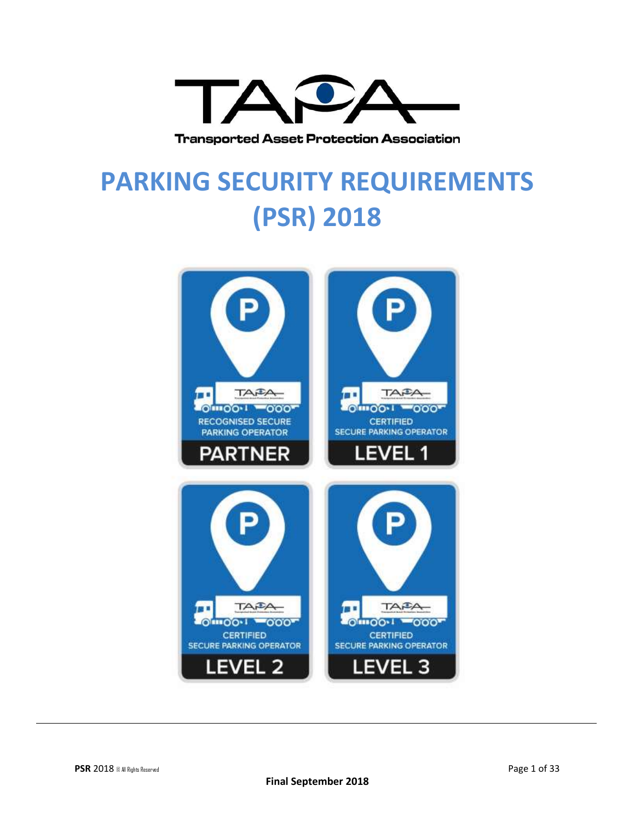

**Transported Asset Protection Association** 

# **PARKING SECURITY REQUIREMENTS (PSR) 2018**

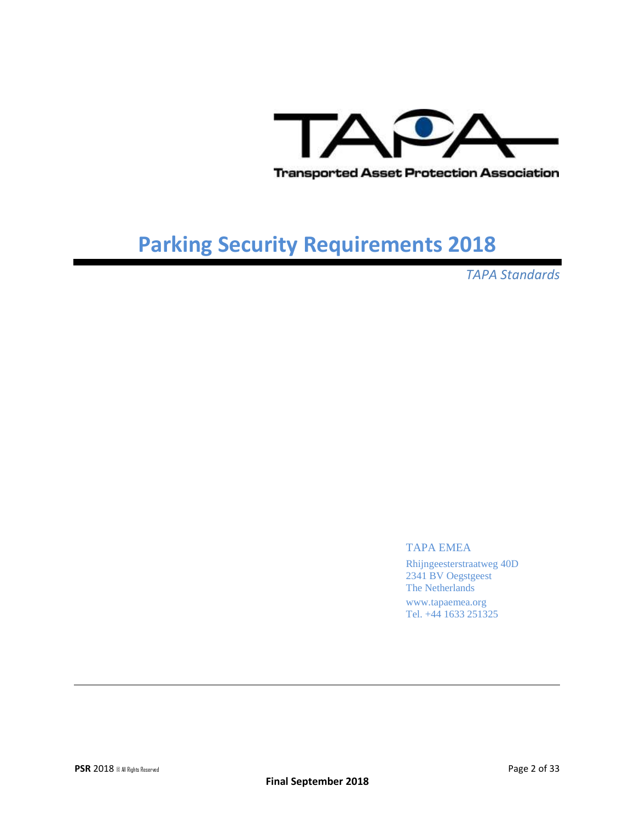

*TAPA Standards*

#### TAPA EMEA

Rhijngeesterstraatweg 40D 2341 BV Oegstgeest The Netherlands www.tapaemea.org Tel. +44 1633 251325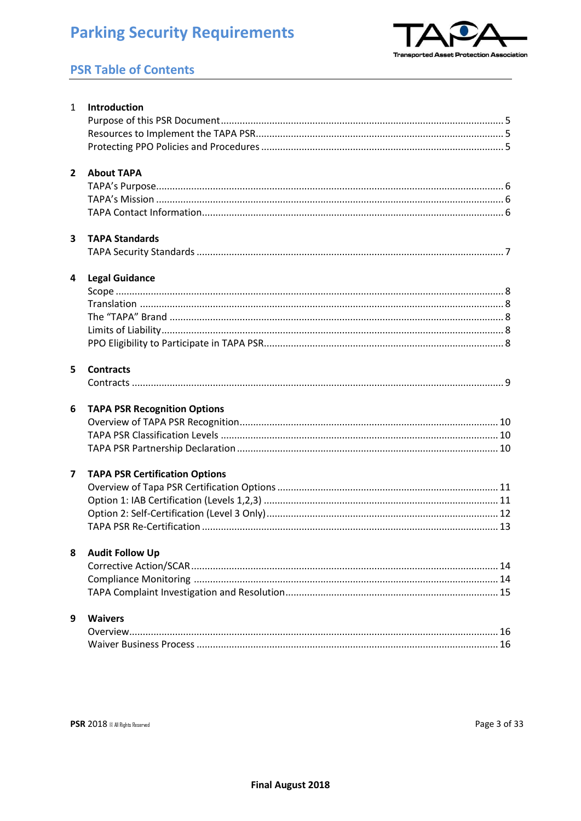

### **PSR Table of Contents**

|                         | 1 Introduction                        |
|-------------------------|---------------------------------------|
|                         |                                       |
|                         |                                       |
|                         |                                       |
| $2^{\circ}$             | <b>About TAPA</b>                     |
|                         |                                       |
|                         |                                       |
|                         |                                       |
| $\overline{\mathbf{3}}$ | <b>TAPA Standards</b>                 |
|                         |                                       |
| 4                       | <b>Legal Guidance</b>                 |
|                         |                                       |
|                         |                                       |
|                         |                                       |
|                         |                                       |
|                         |                                       |
| 5                       | <b>Contracts</b>                      |
|                         |                                       |
| 6                       | <b>TAPA PSR Recognition Options</b>   |
|                         |                                       |
|                         |                                       |
|                         |                                       |
| $\overline{\mathbf{z}}$ | <b>TAPA PSR Certification Options</b> |
|                         |                                       |
|                         |                                       |
|                         |                                       |
|                         |                                       |
| 8                       | <b>Audit Follow Up</b>                |
|                         |                                       |
|                         |                                       |
|                         |                                       |
| 9                       | <b>Waivers</b>                        |
|                         |                                       |
|                         |                                       |
|                         |                                       |
|                         |                                       |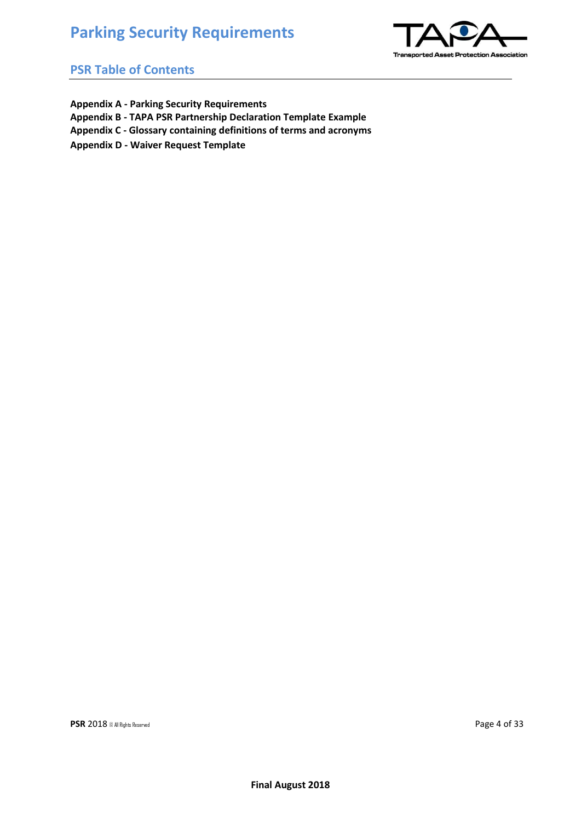

#### **PSR Table of Contents**

- **Appendix A - Parking Security Requirements**
- **Appendix B - TAPA PSR Partnership Declaration Template Example**
- **Appendix C - Glossary containing definitions of terms and acronyms**
- **Appendix D - Waiver Request Template**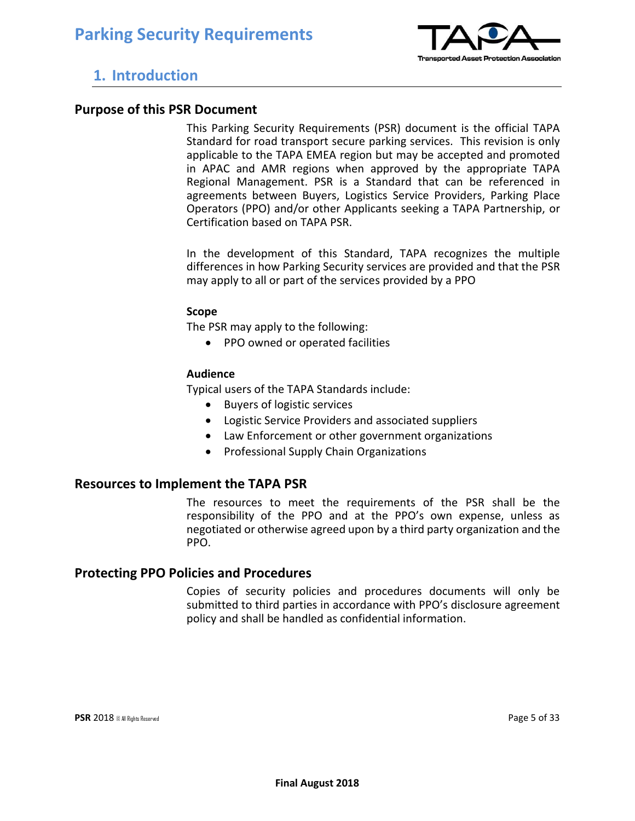

### **1. Introduction**

#### **Purpose of this PSR Document**

This Parking Security Requirements (PSR) document is the official TAPA Standard for road transport secure parking services. This revision is only applicable to the TAPA EMEA region but may be accepted and promoted in APAC and AMR regions when approved by the appropriate TAPA Regional Management. PSR is a Standard that can be referenced in agreements between Buyers, Logistics Service Providers, Parking Place Operators (PPO) and/or other Applicants seeking a TAPA Partnership, or Certification based on TAPA PSR.

In the development of this Standard, TAPA recognizes the multiple differences in how Parking Security services are provided and that the PSR may apply to all or part of the services provided by a PPO

#### **Scope**

The PSR may apply to the following:

• PPO owned or operated facilities

#### **Audience**

Typical users of the TAPA Standards include:

- Buyers of logistic services
- Logistic Service Providers and associated suppliers
- Law Enforcement or other government organizations
- Professional Supply Chain Organizations

#### **Resources to Implement the TAPA PSR**

The resources to meet the requirements of the PSR shall be the responsibility of the PPO and at the PPO's own expense, unless as negotiated or otherwise agreed upon by a third party organization and the PPO.

#### **Protecting PPO Policies and Procedures**

Copies of security policies and procedures documents will only be submitted to third parties in accordance with PPO's disclosure agreement policy and shall be handled as confidential information.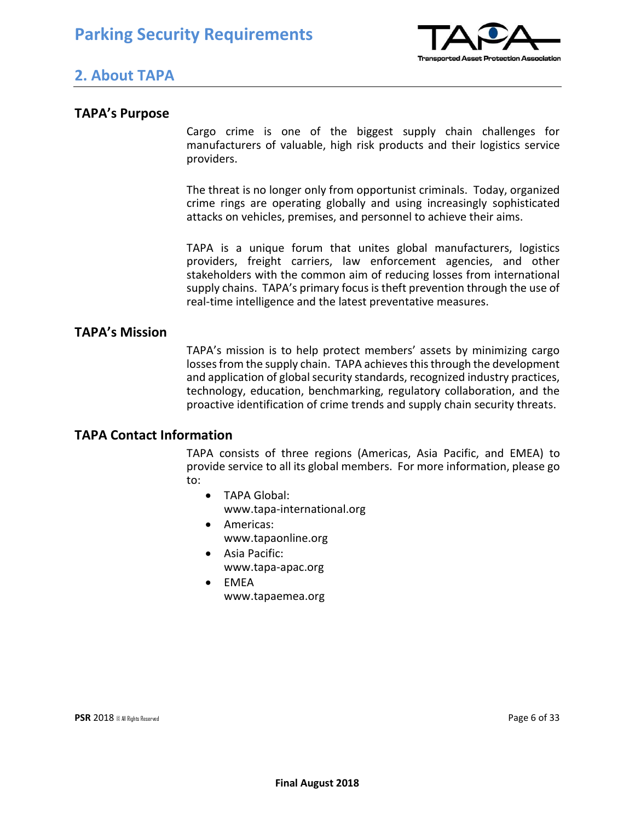

### **2. About TAPA**

#### **TAPA's Purpose**

Cargo crime is one of the biggest supply chain challenges for manufacturers of valuable, high risk products and their logistics service providers.

The threat is no longer only from opportunist criminals. Today, organized crime rings are operating globally and using increasingly sophisticated attacks on vehicles, premises, and personnel to achieve their aims.

TAPA is a unique forum that unites global manufacturers, logistics providers, freight carriers, law enforcement agencies, and other stakeholders with the common aim of reducing losses from international supply chains. TAPA's primary focus is theft prevention through the use of real-time intelligence and the latest preventative measures.

#### **TAPA's Mission**

TAPA's mission is to help protect members' assets by minimizing cargo losses from the supply chain. TAPA achieves this through the development and application of global security standards, recognized industry practices, technology, education, benchmarking, regulatory collaboration, and the proactive identification of crime trends and supply chain security threats.

#### **TAPA Contact Information**

TAPA consists of three regions (Americas, Asia Pacific, and EMEA) to provide service to all its global members. For more information, please go to:

- TAPA Global: www.tapa-international.org
- Americas: www.tapaonline.org
- Asia Pacific: www.tapa-apac.org
- EMEA www.tapaemea.org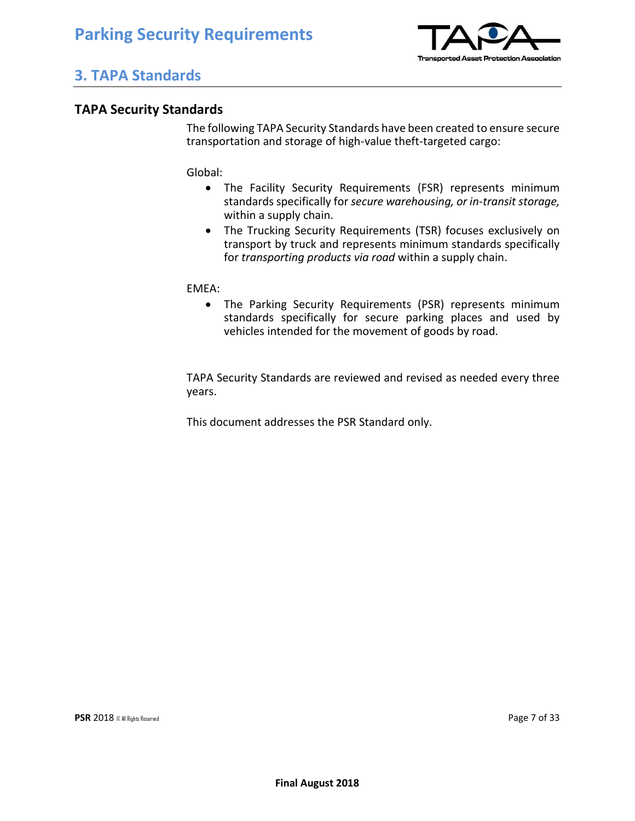

## **3. TAPA Standards**

#### **TAPA Security Standards**

The following TAPA Security Standards have been created to ensure secure transportation and storage of high-value theft-targeted cargo:

Global:

- The Facility Security Requirements (FSR) represents minimum standards specifically for *secure warehousing, or in-transit storage,* within a supply chain.
- The Trucking Security Requirements (TSR) focuses exclusively on transport by truck and represents minimum standards specifically for *transporting products via road* within a supply chain.

EMEA:

• The Parking Security Requirements (PSR) represents minimum standards specifically for secure parking places and used by vehicles intended for the movement of goods by road*.*

TAPA Security Standards are reviewed and revised as needed every three years.

This document addresses the PSR Standard only.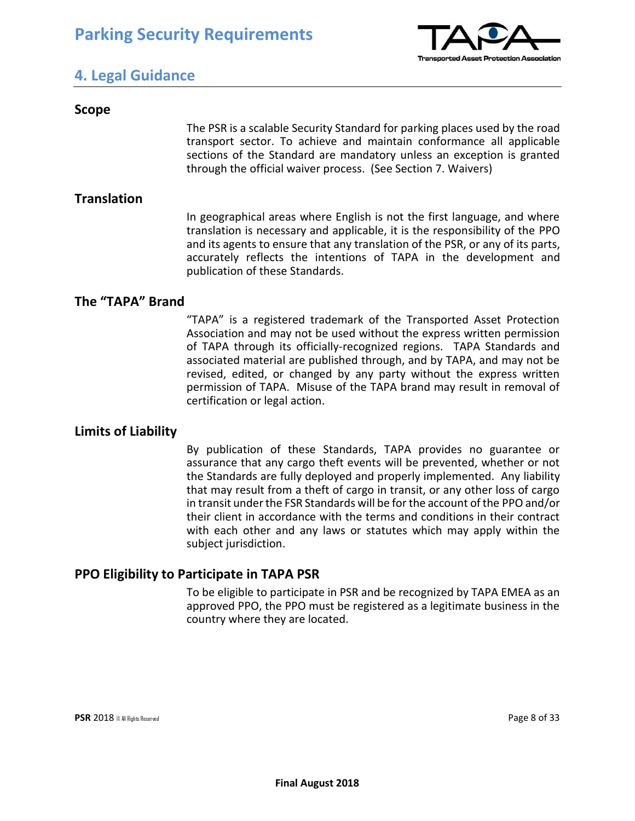

### **4. Legal Guidance**

#### **Scope**

The PSR is a scalable Security Standard for parking places used by the road transport sector. To achieve and maintain conformance all applicable sections of the Standard are mandatory unless an exception is granted through the official waiver process. (See Section 7. Waivers)

#### **Translation**

In geographical areas where English is not the first language, and where translation is necessary and applicable, it is the responsibility of the PPO and its agents to ensure that any translation of the PSR, or any of its parts, accurately reflects the intentions of TAPA in the development and publication of these Standards.

#### **The "TAPA" Brand**

"TAPA" is a registered trademark of the Transported Asset Protection Association and may not be used without the express written permission of TAPA through its officially-recognized regions. TAPA Standards and associated material are published through, and by TAPA, and may not be revised, edited, or changed by any party without the express written permission of TAPA. Misuse of the TAPA brand may result in removal of certification or legal action.

#### **Limits of Liability**

By publication of these Standards, TAPA provides no guarantee or assurance that any cargo theft events will be prevented, whether or not the Standards are fully deployed and properly implemented. Any liability that may result from a theft of cargo in transit, or any other loss of cargo in transit under the FSR Standards will be for the account of the PPO and/or their client in accordance with the terms and conditions in their contract with each other and any laws or statutes which may apply within the subject jurisdiction.

#### **PPO Eligibility to Participate in TAPA PSR**

To be eligible to participate in PSR and be recognized by TAPA EMEA as an approved PPO, the PPO must be registered as a legitimate business in the country where they are located.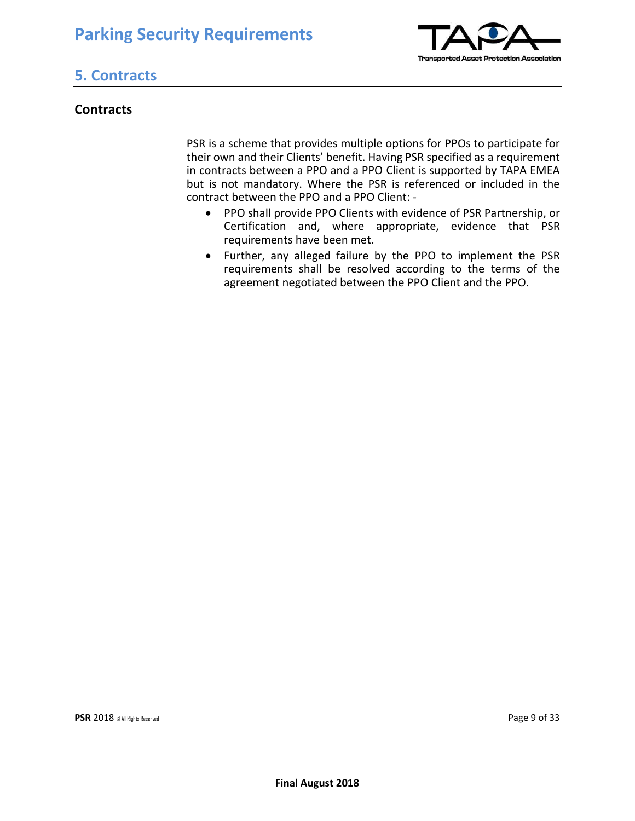

## **5. Contracts**

#### **Contracts**

PSR is a scheme that provides multiple options for PPOs to participate for their own and their Clients' benefit. Having PSR specified as a requirement in contracts between a PPO and a PPO Client is supported by TAPA EMEA but is not mandatory. Where the PSR is referenced or included in the contract between the PPO and a PPO Client: -

- PPO shall provide PPO Clients with evidence of PSR Partnership, or Certification and, where appropriate, evidence that PSR requirements have been met.
- Further, any alleged failure by the PPO to implement the PSR requirements shall be resolved according to the terms of the agreement negotiated between the PPO Client and the PPO.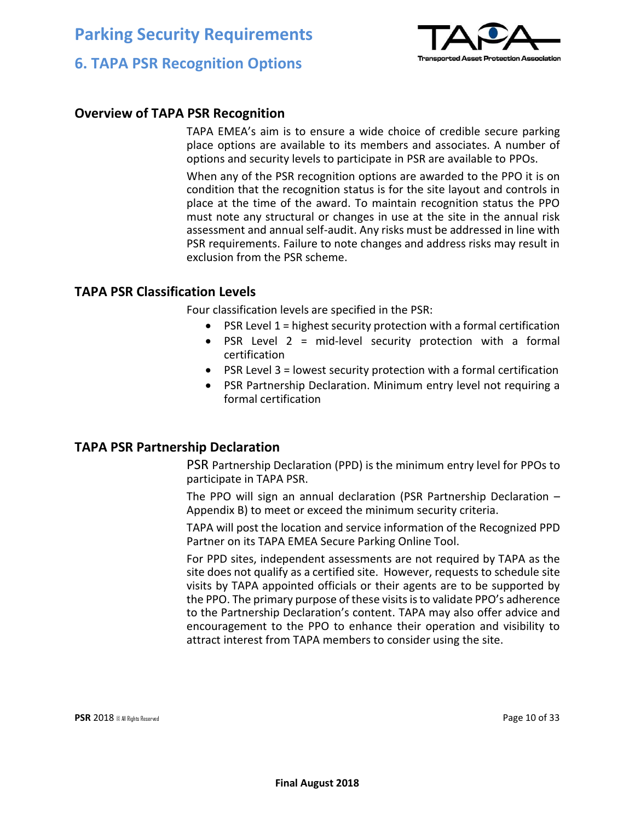

## **6. TAPA PSR Recognition Options**

#### **Overview of TAPA PSR Recognition**

TAPA EMEA's aim is to ensure a wide choice of credible secure parking place options are available to its members and associates. A number of options and security levels to participate in PSR are available to PPOs.

When any of the PSR recognition options are awarded to the PPO it is on condition that the recognition status is for the site layout and controls in place at the time of the award. To maintain recognition status the PPO must note any structural or changes in use at the site in the annual risk assessment and annual self-audit. Any risks must be addressed in line with PSR requirements. Failure to note changes and address risks may result in exclusion from the PSR scheme.

#### **TAPA PSR Classification Levels**

Four classification levels are specified in the PSR:

- PSR Level  $1$  = highest security protection with a formal certification
- PSR Level 2 = mid-level security protection with a formal certification
- PSR Level 3 = lowest security protection with a formal certification
- PSR Partnership Declaration. Minimum entry level not requiring a formal certification

#### **TAPA PSR Partnership Declaration**

PSR Partnership Declaration (PPD) is the minimum entry level for PPOs to participate in TAPA PSR.

The PPO will sign an annual declaration (PSR Partnership Declaration – Appendix B) to meet or exceed the minimum security criteria.

TAPA will post the location and service information of the Recognized PPD Partner on its TAPA EMEA Secure Parking Online Tool.

For PPD sites, independent assessments are not required by TAPA as the site does not qualify as a certified site. However, requests to schedule site visits by TAPA appointed officials or their agents are to be supported by the PPO. The primary purpose of these visits is to validate PPO's adherence to the Partnership Declaration's content. TAPA may also offer advice and encouragement to the PPO to enhance their operation and visibility to attract interest from TAPA members to consider using the site.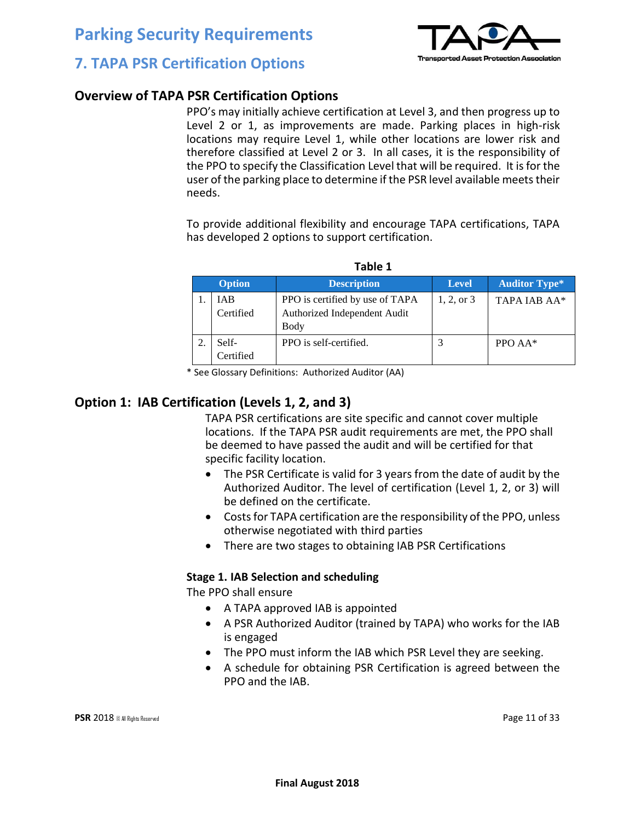

### **7. TAPA PSR Certification Options**

#### **Overview of TAPA PSR Certification Options**

PPO's may initially achieve certification at Level 3, and then progress up to Level 2 or 1, as improvements are made. Parking places in high-risk locations may require Level 1, while other locations are lower risk and therefore classified at Level 2 or 3. In all cases, it is the responsibility of the PPO to specify the Classification Level that will be required. It is for the user of the parking place to determine if the PSR level available meets their needs.

To provide additional flexibility and encourage TAPA certifications, TAPA has developed 2 options to support certification.

|               | 1 U.VIL 1               |                                                                                |              |                      |  |  |  |  |  |  |
|---------------|-------------------------|--------------------------------------------------------------------------------|--------------|----------------------|--|--|--|--|--|--|
| <b>Option</b> |                         | <b>Description</b>                                                             | Level        | <b>Auditor Type*</b> |  |  |  |  |  |  |
|               | <b>IAB</b><br>Certified | PPO is certified by use of TAPA<br>Authorized Independent Audit<br><b>Body</b> | $1, 2,$ or 3 | TAPA IAB AA*         |  |  |  |  |  |  |
|               | Self-<br>Certified      | PPO is self-certified.                                                         |              | PPO $AA^*$           |  |  |  |  |  |  |

**Table 1**

\* See Glossary Definitions: Authorized Auditor (AA)

#### **Option 1: IAB Certification (Levels 1, 2, and 3)**

TAPA PSR certifications are site specific and cannot cover multiple locations. If the TAPA PSR audit requirements are met, the PPO shall be deemed to have passed the audit and will be certified for that specific facility location.

- The PSR Certificate is valid for 3 years from the date of audit by the Authorized Auditor. The level of certification (Level 1, 2, or 3) will be defined on the certificate.
- Costs for TAPA certification are the responsibility of the PPO, unless otherwise negotiated with third parties
- There are two stages to obtaining IAB PSR Certifications

#### **Stage 1. IAB Selection and scheduling**

The PPO shall ensure

- A TAPA approved IAB is appointed
- A PSR Authorized Auditor (trained by TAPA) who works for the IAB is engaged
- The PPO must inform the IAB which PSR Level they are seeking.
- A schedule for obtaining PSR Certification is agreed between the PPO and the IAB.

**PSR** 2018 © All Rights Reserved **Page 11 of 33**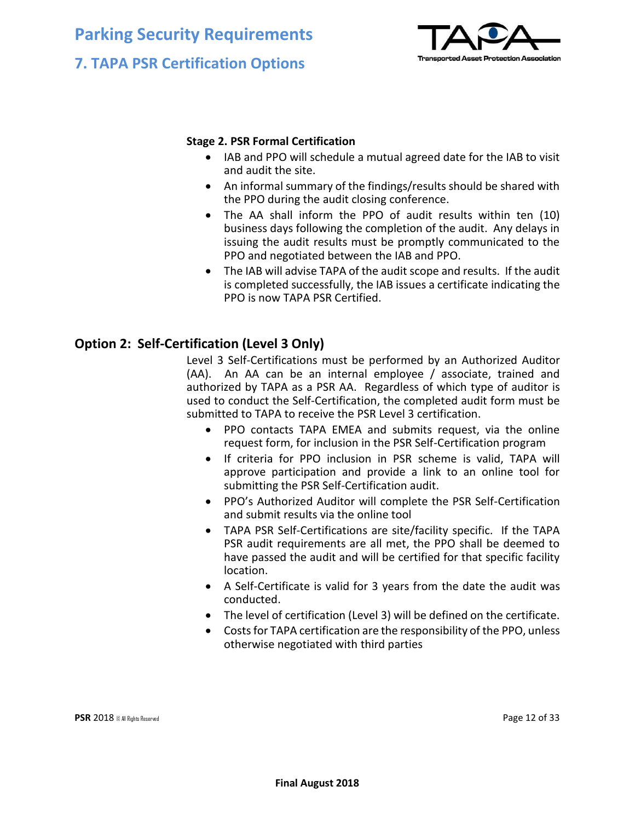## **Parking Security Requirements 7. TAPA PSR Certification Options**



#### **Stage 2. PSR Formal Certification**

- IAB and PPO will schedule a mutual agreed date for the IAB to visit and audit the site.
- An informal summary of the findings/results should be shared with the PPO during the audit closing conference.
- The AA shall inform the PPO of audit results within ten (10) business days following the completion of the audit. Any delays in issuing the audit results must be promptly communicated to the PPO and negotiated between the IAB and PPO.
- The IAB will advise TAPA of the audit scope and results. If the audit is completed successfully, the IAB issues a certificate indicating the PPO is now TAPA PSR Certified.

#### **Option 2: Self-Certification (Level 3 Only)**

Level 3 Self-Certifications must be performed by an Authorized Auditor (AA). An AA can be an internal employee / associate, trained and authorized by TAPA as a PSR AA. Regardless of which type of auditor is used to conduct the Self-Certification, the completed audit form must be submitted to TAPA to receive the PSR Level 3 certification.

- PPO contacts TAPA EMEA and submits request, via the online request form, for inclusion in the PSR Self-Certification program
- If criteria for PPO inclusion in PSR scheme is valid, TAPA will approve participation and provide a link to an online tool for submitting the PSR Self-Certification audit.
- PPO's Authorized Auditor will complete the PSR Self-Certification and submit results via the online tool
- TAPA PSR Self-Certifications are site/facility specific. If the TAPA PSR audit requirements are all met, the PPO shall be deemed to have passed the audit and will be certified for that specific facility location.
- A Self-Certificate is valid for 3 years from the date the audit was conducted.
- The level of certification (Level 3) will be defined on the certificate.
- Costs for TAPA certification are the responsibility of the PPO, unless otherwise negotiated with third parties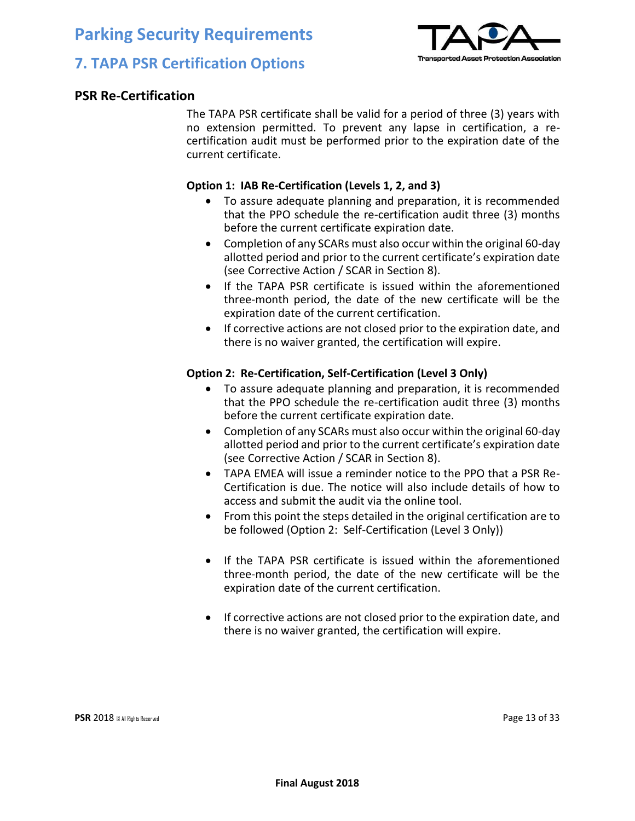

## **7. TAPA PSR Certification Options**

#### **PSR Re-Certification**

The TAPA PSR certificate shall be valid for a period of three (3) years with no extension permitted. To prevent any lapse in certification, a recertification audit must be performed prior to the expiration date of the current certificate.

#### **Option 1: IAB Re-Certification (Levels 1, 2, and 3)**

- To assure adequate planning and preparation, it is recommended that the PPO schedule the re-certification audit three (3) months before the current certificate expiration date.
- Completion of any SCARs must also occur within the original 60-day allotted period and prior to the current certificate's expiration date (see Corrective Action / SCAR in Section 8).
- If the TAPA PSR certificate is issued within the aforementioned three-month period, the date of the new certificate will be the expiration date of the current certification.
- If corrective actions are not closed prior to the expiration date, and there is no waiver granted, the certification will expire.

#### **Option 2: Re-Certification, Self-Certification (Level 3 Only)**

- To assure adequate planning and preparation, it is recommended that the PPO schedule the re-certification audit three (3) months before the current certificate expiration date.
- Completion of any SCARs must also occur within the original 60-day allotted period and prior to the current certificate's expiration date (see Corrective Action / SCAR in Section 8).
- TAPA EMEA will issue a reminder notice to the PPO that a PSR Re-Certification is due. The notice will also include details of how to access and submit the audit via the online tool.
- From this point the steps detailed in the original certification are to be followed (Option 2: Self-Certification (Level 3 Only))
- If the TAPA PSR certificate is issued within the aforementioned three-month period, the date of the new certificate will be the expiration date of the current certification.
- If corrective actions are not closed prior to the expiration date, and there is no waiver granted, the certification will expire.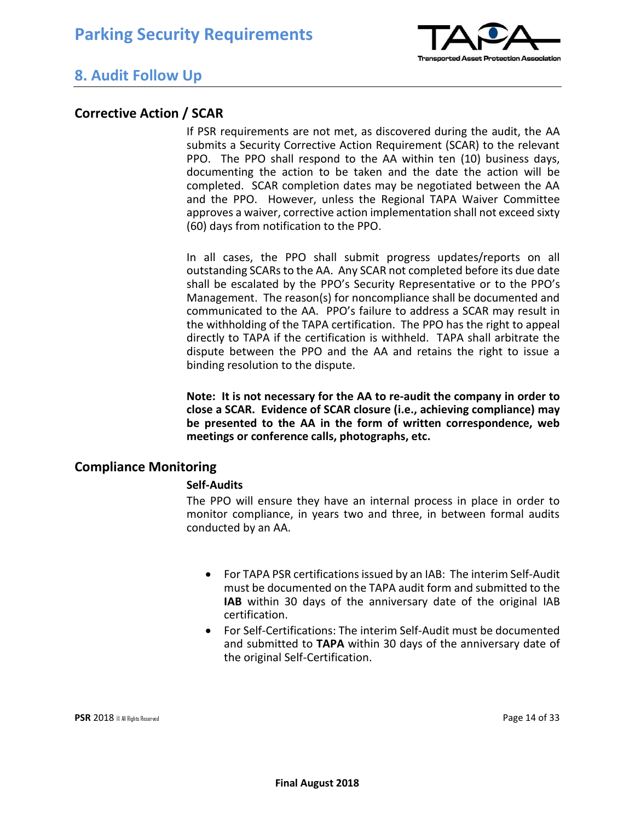

### **8. Audit Follow Up**

#### **Corrective Action / SCAR**

If PSR requirements are not met, as discovered during the audit, the AA submits a Security Corrective Action Requirement (SCAR) to the relevant PPO. The PPO shall respond to the AA within ten (10) business days, documenting the action to be taken and the date the action will be completed. SCAR completion dates may be negotiated between the AA and the PPO. However, unless the Regional TAPA Waiver Committee approves a waiver, corrective action implementation shall not exceed sixty (60) days from notification to the PPO.

In all cases, the PPO shall submit progress updates/reports on all outstanding SCARs to the AA. Any SCAR not completed before its due date shall be escalated by the PPO's Security Representative or to the PPO's Management. The reason(s) for noncompliance shall be documented and communicated to the AA. PPO's failure to address a SCAR may result in the withholding of the TAPA certification. The PPO has the right to appeal directly to TAPA if the certification is withheld. TAPA shall arbitrate the dispute between the PPO and the AA and retains the right to issue a binding resolution to the dispute.

**Note: It is not necessary for the AA to re-audit the company in order to close a SCAR. Evidence of SCAR closure (i.e., achieving compliance) may be presented to the AA in the form of written correspondence, web meetings or conference calls, photographs, etc.** 

#### **Compliance Monitoring**

#### **Self-Audits**

The PPO will ensure they have an internal process in place in order to monitor compliance, in years two and three, in between formal audits conducted by an AA.

- For TAPA PSR certifications issued by an IAB: The interim Self-Audit must be documented on the TAPA audit form and submitted to the **IAB** within 30 days of the anniversary date of the original IAB certification.
- For Self-Certifications: The interim Self-Audit must be documented and submitted to **TAPA** within 30 days of the anniversary date of the original Self-Certification.

**PSR** 2018 © All Rights Reserved **Page 14 of 33**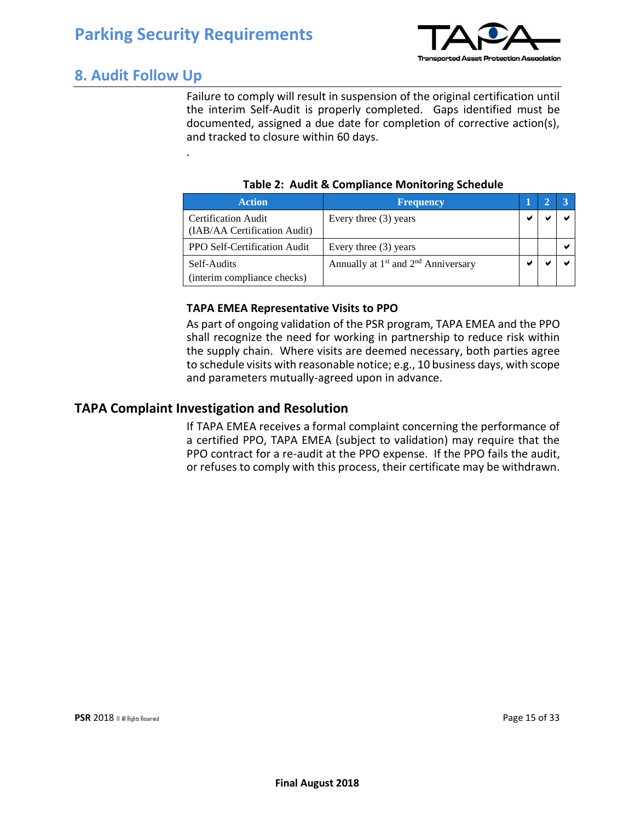.



## **8. Audit Follow Up**

Failure to comply will result in suspension of the original certification until the interim Self-Audit is properly completed. Gaps identified must be documented, assigned a due date for completion of corrective action(s), and tracked to closure within 60 days.

|  |  |  | Table 2: Audit & Compliance Monitoring Schedule |
|--|--|--|-------------------------------------------------|
|--|--|--|-------------------------------------------------|

| <b>Action</b>                                              | <b>Frequency</b>                                            |  |  |
|------------------------------------------------------------|-------------------------------------------------------------|--|--|
| <b>Certification Audit</b><br>(IAB/AA Certification Audit) | Every three (3) years                                       |  |  |
| <b>PPO Self-Certification Audit</b>                        | Every three (3) years                                       |  |  |
| Self-Audits                                                | Annually at 1 <sup>st</sup> and 2 <sup>nd</sup> Anniversary |  |  |
| (interim compliance checks)                                |                                                             |  |  |

#### **TAPA EMEA Representative Visits to PPO**

As part of ongoing validation of the PSR program, TAPA EMEA and the PPO shall recognize the need for working in partnership to reduce risk within the supply chain. Where visits are deemed necessary, both parties agree to schedule visits with reasonable notice; e.g., 10 business days, with scope and parameters mutually-agreed upon in advance.

#### **TAPA Complaint Investigation and Resolution**

If TAPA EMEA receives a formal complaint concerning the performance of a certified PPO, TAPA EMEA (subject to validation) may require that the PPO contract for a re-audit at the PPO expense. If the PPO fails the audit, or refuses to comply with this process, their certificate may be withdrawn.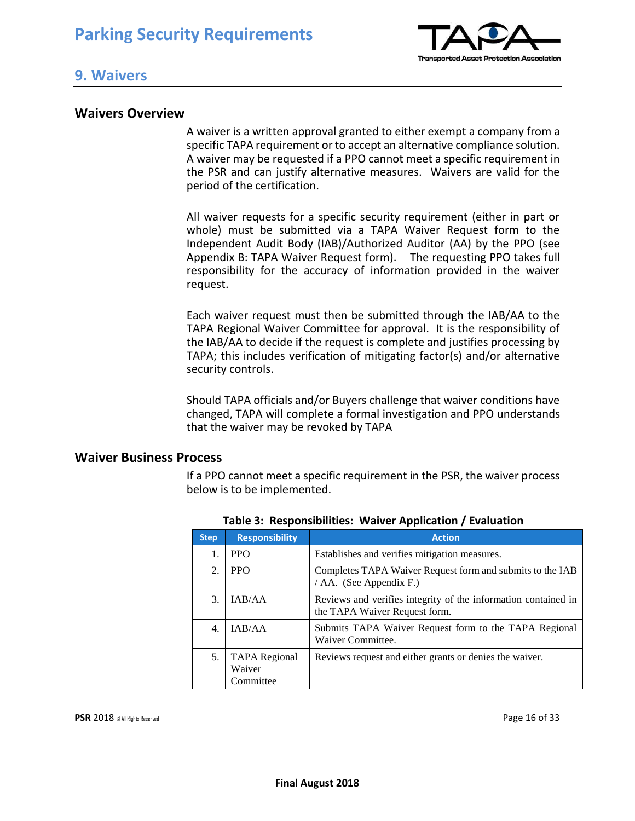

#### **9. Waivers**

#### **Waivers Overview**

A waiver is a written approval granted to either exempt a company from a specific TAPA requirement or to accept an alternative compliance solution. A waiver may be requested if a PPO cannot meet a specific requirement in the PSR and can justify alternative measures. Waivers are valid for the period of the certification.

All waiver requests for a specific security requirement (either in part or whole) must be submitted via a TAPA Waiver Request form to the Independent Audit Body (IAB)/Authorized Auditor (AA) by the PPO (see Appendix B: TAPA Waiver Request form). The requesting PPO takes full responsibility for the accuracy of information provided in the waiver request.

Each waiver request must then be submitted through the IAB/AA to the TAPA Regional Waiver Committee for approval. It is the responsibility of the IAB/AA to decide if the request is complete and justifies processing by TAPA; this includes verification of mitigating factor(s) and/or alternative security controls.

Should TAPA officials and/or Buyers challenge that waiver conditions have changed, TAPA will complete a formal investigation and PPO understands that the waiver may be revoked by TAPA

#### **Waiver Business Process**

If a PPO cannot meet a specific requirement in the PSR, the waiver process below is to be implemented.

| <b>Step</b> | <b>Responsibility</b>                       | <b>Action</b>                                                                                   |
|-------------|---------------------------------------------|-------------------------------------------------------------------------------------------------|
| 1.          | <b>PPO</b>                                  | Establishes and verifies mitigation measures.                                                   |
| 2.          | <b>PPO</b>                                  | Completes TAPA Waiver Request form and submits to the IAB<br>/ AA. (See Appendix F.)            |
| 3.          | IAB/AA                                      | Reviews and verifies integrity of the information contained in<br>the TAPA Waiver Request form. |
| 4.          | IAB/AA                                      | Submits TAPA Waiver Request form to the TAPA Regional<br>Waiver Committee.                      |
| 5.          | <b>TAPA</b> Regional<br>Waiver<br>Committee | Reviews request and either grants or denies the waiver.                                         |

**Table 3: Responsibilities: Waiver Application / Evaluation**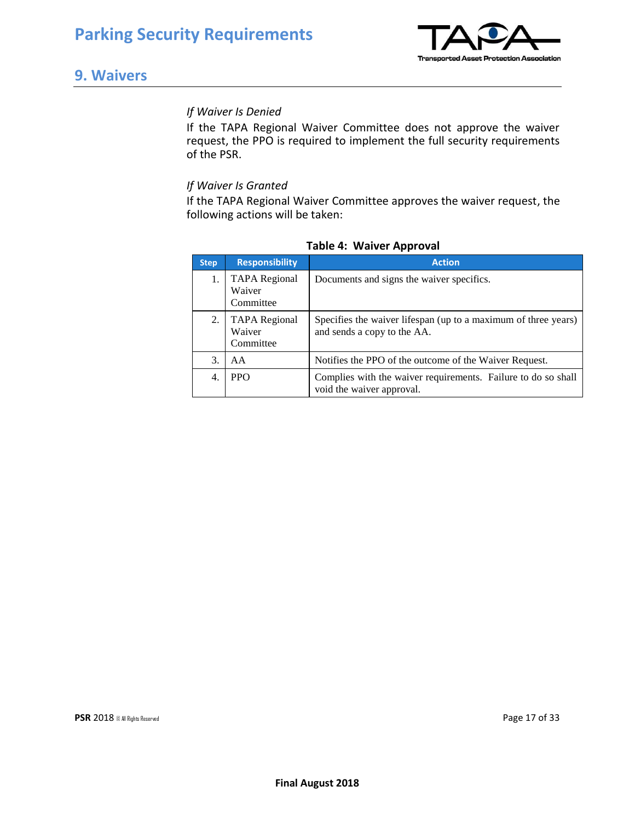

### **9. Waivers**

#### *If Waiver Is Denied*

If the TAPA Regional Waiver Committee does not approve the waiver request, the PPO is required to implement the full security requirements of the PSR.

#### *If Waiver Is Granted*

If the TAPA Regional Waiver Committee approves the waiver request, the following actions will be taken:

| Step             | <b>Responsibility</b>                       | <b>Action</b>                                                                                 |
|------------------|---------------------------------------------|-----------------------------------------------------------------------------------------------|
|                  | <b>TAPA</b> Regional<br>Waiver<br>Committee | Documents and signs the waiver specifics.                                                     |
| 2.               | <b>TAPA</b> Regional<br>Waiver<br>Committee | Specifies the waiver lifespan (up to a maximum of three years)<br>and sends a copy to the AA. |
| 3.               | AA                                          | Notifies the PPO of the outcome of the Waiver Request.                                        |
| $\overline{4}$ . | <b>PPO</b>                                  | Complies with the waiver requirements. Failure to do so shall<br>void the waiver approval.    |

#### **Table 4: Waiver Approval**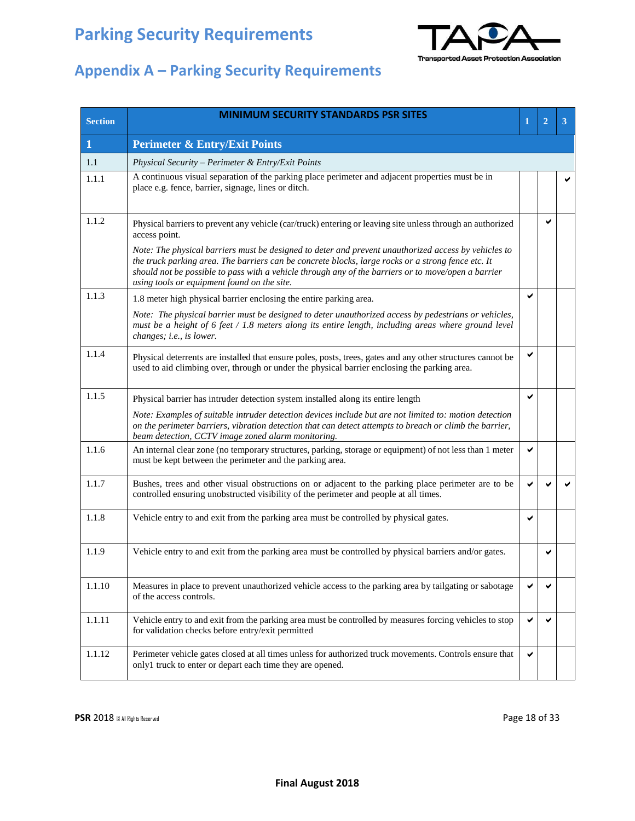

| <b>Section</b> | <b>MINIMUM SECURITY STANDARDS PSR SITES</b>                                                                                                                                                                                                                                                                                                                      | 1 | $\overline{2}$ | 3 |
|----------------|------------------------------------------------------------------------------------------------------------------------------------------------------------------------------------------------------------------------------------------------------------------------------------------------------------------------------------------------------------------|---|----------------|---|
| 1              | <b>Perimeter &amp; Entry/Exit Points</b>                                                                                                                                                                                                                                                                                                                         |   |                |   |
| 1.1            | Physical Security - Perimeter & Entry/Exit Points                                                                                                                                                                                                                                                                                                                |   |                |   |
| 1.1.1          | A continuous visual separation of the parking place perimeter and adjacent properties must be in<br>place e.g. fence, barrier, signage, lines or ditch.                                                                                                                                                                                                          |   |                |   |
| 1.1.2          | Physical barriers to prevent any vehicle (car/truck) entering or leaving site unless through an authorized<br>access point.                                                                                                                                                                                                                                      |   | ✔              |   |
|                | Note: The physical barriers must be designed to deter and prevent unauthorized access by vehicles to<br>the truck parking area. The barriers can be concrete blocks, large rocks or a strong fence etc. It<br>should not be possible to pass with a vehicle through any of the barriers or to move/open a barrier<br>using tools or equipment found on the site. |   |                |   |
| 1.1.3          | 1.8 meter high physical barrier enclosing the entire parking area.                                                                                                                                                                                                                                                                                               | ✔ |                |   |
|                | Note: The physical barrier must be designed to deter unauthorized access by pedestrians or vehicles,<br>must be a height of 6 feet / 1.8 meters along its entire length, including areas where ground level<br>changes; i.e., is lower.                                                                                                                          |   |                |   |
| 1.1.4          | Physical deterrents are installed that ensure poles, posts, trees, gates and any other structures cannot be<br>used to aid climbing over, through or under the physical barrier enclosing the parking area.                                                                                                                                                      |   |                |   |
| 1.1.5          | Physical barrier has intruder detection system installed along its entire length                                                                                                                                                                                                                                                                                 | ✔ |                |   |
|                | Note: Examples of suitable intruder detection devices include but are not limited to: motion detection<br>on the perimeter barriers, vibration detection that can detect attempts to breach or climb the barrier,<br>beam detection, CCTV image zoned alarm monitoring.                                                                                          |   |                |   |
| 1.1.6          | An internal clear zone (no temporary structures, parking, storage or equipment) of not less than 1 meter<br>must be kept between the perimeter and the parking area.                                                                                                                                                                                             | ✔ |                |   |
| 1.1.7          | Bushes, trees and other visual obstructions on or adjacent to the parking place perimeter are to be<br>controlled ensuring unobstructed visibility of the perimeter and people at all times.                                                                                                                                                                     | ✔ |                |   |
| 1.1.8          | Vehicle entry to and exit from the parking area must be controlled by physical gates.                                                                                                                                                                                                                                                                            |   |                |   |
| 1.1.9          | Vehicle entry to and exit from the parking area must be controlled by physical barriers and/or gates.                                                                                                                                                                                                                                                            |   | ✔              |   |
| 1.1.10         | Measures in place to prevent unauthorized vehicle access to the parking area by tailgating or sabotage<br>of the access controls.                                                                                                                                                                                                                                | ✔ | ✔              |   |
| 1.1.11         | Vehicle entry to and exit from the parking area must be controlled by measures forcing vehicles to stop<br>for validation checks before entry/exit permitted                                                                                                                                                                                                     | ✔ | ✔              |   |
| 1.1.12         | Perimeter vehicle gates closed at all times unless for authorized truck movements. Controls ensure that<br>only1 truck to enter or depart each time they are opened.                                                                                                                                                                                             | ✔ |                |   |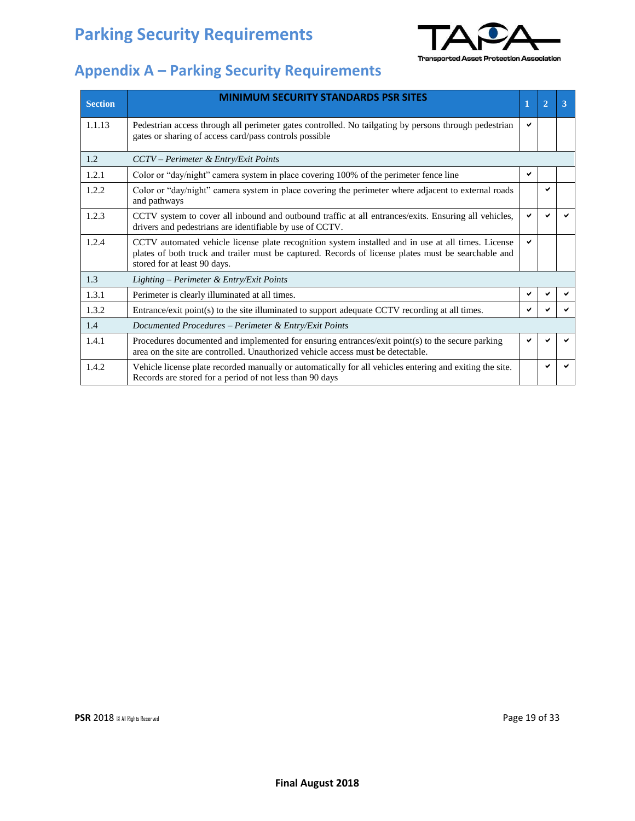

| <b>Section</b> | <b>MINIMUM SECURITY STANDARDS PSR SITES</b>                                                                                                                                                                                               |   | 2 | 3 |
|----------------|-------------------------------------------------------------------------------------------------------------------------------------------------------------------------------------------------------------------------------------------|---|---|---|
| 1.1.13         | Pedestrian access through all perimeter gates controlled. No tailgating by persons through pedestrian<br>gates or sharing of access card/pass controls possible                                                                           | ✔ |   |   |
| 1.2            | CCTV - Perimeter & Entry/Exit Points                                                                                                                                                                                                      |   |   |   |
| 1.2.1          | Color or "day/night" camera system in place covering 100% of the perimeter fence line                                                                                                                                                     | ✔ |   |   |
| 1.2.2          | Color or "day/night" camera system in place covering the perimeter where adjacent to external roads<br>and pathways                                                                                                                       |   | ✔ |   |
| 1.2.3          | CCTV system to cover all inbound and outbound traffic at all entrances/exits. Ensuring all vehicles,<br>drivers and pedestrians are identifiable by use of CCTV.                                                                          |   |   |   |
| 1.2.4          | CCTV automated vehicle license plate recognition system installed and in use at all times. License<br>plates of both truck and trailer must be captured. Records of license plates must be searchable and<br>stored for at least 90 days. | ✓ |   |   |
| 1.3            | Lighting – Perimeter & Entry/Exit Points                                                                                                                                                                                                  |   |   |   |
| 1.3.1          | Perimeter is clearly illuminated at all times.                                                                                                                                                                                            | ✔ |   |   |
| 1.3.2          | Entrance/exit point(s) to the site illuminated to support adequate CCTV recording at all times.                                                                                                                                           |   |   |   |
| 1.4            | Documented Procedures - Perimeter & Entry/Exit Points                                                                                                                                                                                     |   |   |   |
| 1.4.1          | Procedures documented and implemented for ensuring entrances/exit point(s) to the secure parking<br>area on the site are controlled. Unauthorized vehicle access must be detectable.                                                      |   |   |   |
| 1.4.2          | Vehicle license plate recorded manually or automatically for all vehicles entering and exiting the site.<br>Records are stored for a period of not less than 90 days                                                                      |   | ✔ |   |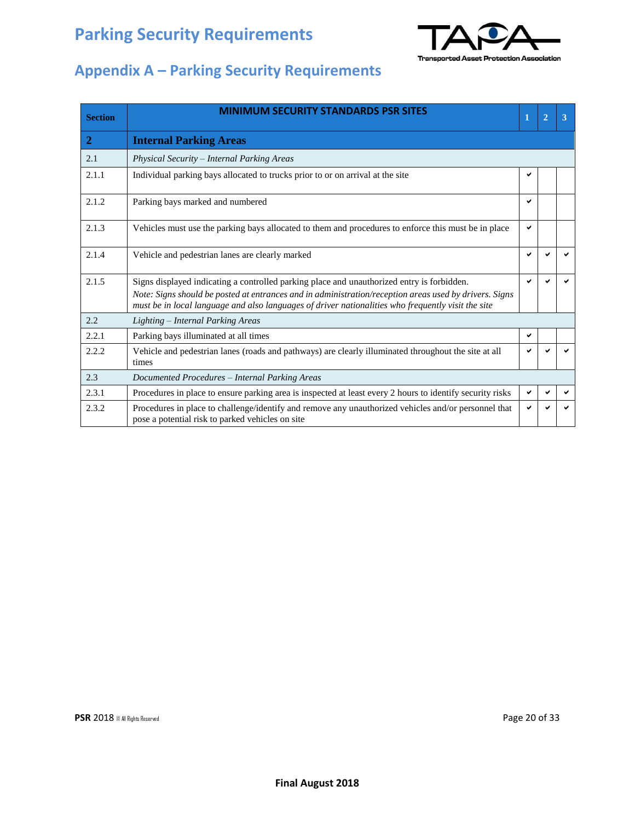

| <b>Section</b> | <b>MINIMUM SECURITY STANDARDS PSR SITES</b>                                                                                                                                                                                                                                                                | 1 | $\overline{2}$ | 3 |
|----------------|------------------------------------------------------------------------------------------------------------------------------------------------------------------------------------------------------------------------------------------------------------------------------------------------------------|---|----------------|---|
| $\overline{2}$ | <b>Internal Parking Areas</b>                                                                                                                                                                                                                                                                              |   |                |   |
| 2.1            | Physical Security - Internal Parking Areas                                                                                                                                                                                                                                                                 |   |                |   |
| 2.1.1          | Individual parking bays allocated to trucks prior to or on arrival at the site                                                                                                                                                                                                                             | ✔ |                |   |
| 2.1.2          | Parking bays marked and numbered                                                                                                                                                                                                                                                                           | ✓ |                |   |
| 2.1.3          | Vehicles must use the parking bays allocated to them and procedures to enforce this must be in place                                                                                                                                                                                                       | ✔ |                |   |
| 2.1.4          | Vehicle and pedestrian lanes are clearly marked                                                                                                                                                                                                                                                            |   |                |   |
| 2.1.5          | Signs displayed indicating a controlled parking place and unauthorized entry is forbidden.<br>Note: Signs should be posted at entrances and in administration/reception areas used by drivers. Signs<br>must be in local language and also languages of driver nationalities who frequently visit the site | ✔ |                |   |
| 2.2            | Lighting – Internal Parking Areas                                                                                                                                                                                                                                                                          |   |                |   |
| 2.2.1          | Parking bays illuminated at all times                                                                                                                                                                                                                                                                      | ✔ |                |   |
| 2.2.2          | Vehicle and pedestrian lanes (roads and pathways) are clearly illuminated throughout the site at all<br>times                                                                                                                                                                                              |   |                |   |
| 2.3            | Documented Procedures - Internal Parking Areas                                                                                                                                                                                                                                                             |   |                |   |
| 2.3.1          | Procedures in place to ensure parking area is inspected at least every 2 hours to identify security risks                                                                                                                                                                                                  | ✔ |                |   |
| 2.3.2          | Procedures in place to challenge/identify and remove any unauthorized vehicles and/or personnel that<br>pose a potential risk to parked vehicles on site                                                                                                                                                   | ✔ |                | ✔ |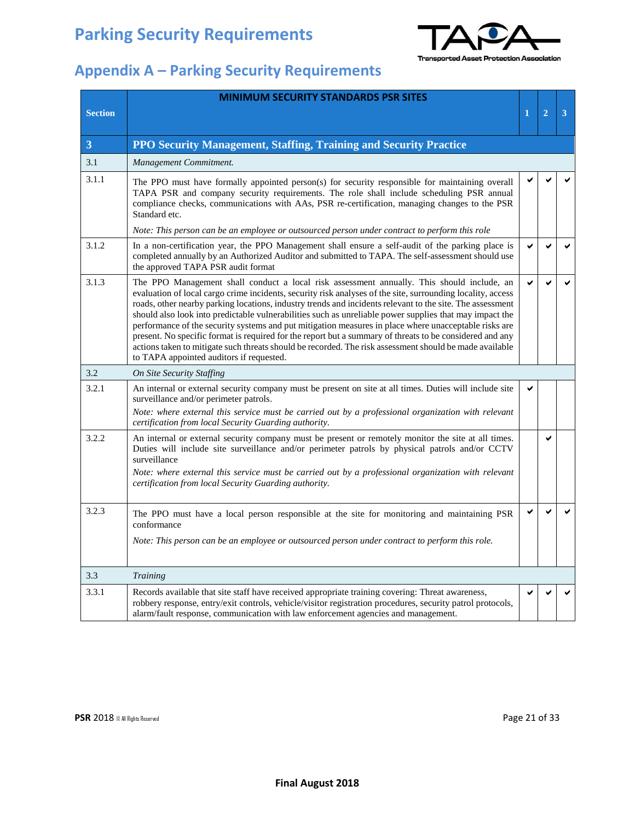

|                | <b>MINIMUM SECURITY STANDARDS PSR SITES</b>                                                                                                                                                                                                                                                                                                                                                                                                                                                                                                                                                                                                                                                                                                                                                                   |   |                |   |
|----------------|---------------------------------------------------------------------------------------------------------------------------------------------------------------------------------------------------------------------------------------------------------------------------------------------------------------------------------------------------------------------------------------------------------------------------------------------------------------------------------------------------------------------------------------------------------------------------------------------------------------------------------------------------------------------------------------------------------------------------------------------------------------------------------------------------------------|---|----------------|---|
| <b>Section</b> |                                                                                                                                                                                                                                                                                                                                                                                                                                                                                                                                                                                                                                                                                                                                                                                                               | 1 | $\overline{2}$ | 3 |
| $\overline{3}$ | PPO Security Management, Staffing, Training and Security Practice                                                                                                                                                                                                                                                                                                                                                                                                                                                                                                                                                                                                                                                                                                                                             |   |                |   |
| 3.1            | Management Commitment.                                                                                                                                                                                                                                                                                                                                                                                                                                                                                                                                                                                                                                                                                                                                                                                        |   |                |   |
| 3.1.1          | The PPO must have formally appointed person(s) for security responsible for maintaining overall<br>TAPA PSR and company security requirements. The role shall include scheduling PSR annual<br>compliance checks, communications with AAs, PSR re-certification, managing changes to the PSR<br>Standard etc.                                                                                                                                                                                                                                                                                                                                                                                                                                                                                                 |   |                |   |
|                | Note: This person can be an employee or outsourced person under contract to perform this role                                                                                                                                                                                                                                                                                                                                                                                                                                                                                                                                                                                                                                                                                                                 |   |                |   |
| 3.1.2          | In a non-certification year, the PPO Management shall ensure a self-audit of the parking place is<br>completed annually by an Authorized Auditor and submitted to TAPA. The self-assessment should use<br>the approved TAPA PSR audit format                                                                                                                                                                                                                                                                                                                                                                                                                                                                                                                                                                  |   | v              |   |
| 3.1.3          | The PPO Management shall conduct a local risk assessment annually. This should include, an<br>evaluation of local cargo crime incidents, security risk analyses of the site, surrounding locality, access<br>roads, other nearby parking locations, industry trends and incidents relevant to the site. The assessment<br>should also look into predictable vulnerabilities such as unreliable power supplies that may impact the<br>performance of the security systems and put mitigation measures in place where unacceptable risks are<br>present. No specific format is required for the report but a summary of threats to be considered and any<br>actions taken to mitigate such threats should be recorded. The risk assessment should be made available<br>to TAPA appointed auditors if requested. |   |                |   |
| 3.2            | <b>On Site Security Staffing</b>                                                                                                                                                                                                                                                                                                                                                                                                                                                                                                                                                                                                                                                                                                                                                                              |   |                |   |
| 3.2.1          | An internal or external security company must be present on site at all times. Duties will include site<br>surveillance and/or perimeter patrols.                                                                                                                                                                                                                                                                                                                                                                                                                                                                                                                                                                                                                                                             |   |                |   |
|                | Note: where external this service must be carried out by a professional organization with relevant<br>certification from local Security Guarding authority.                                                                                                                                                                                                                                                                                                                                                                                                                                                                                                                                                                                                                                                   |   |                |   |
| 3.2.2          | An internal or external security company must be present or remotely monitor the site at all times.<br>Duties will include site surveillance and/or perimeter patrols by physical patrols and/or CCTV<br>surveillance<br>Note: where external this service must be carried out by a professional organization with relevant<br>certification from local Security Guarding authority.                                                                                                                                                                                                                                                                                                                                                                                                                          |   | ✔              |   |
| 3.2.3          | The PPO must have a local person responsible at the site for monitoring and maintaining PSR<br>conformance<br>Note: This person can be an employee or outsourced person under contract to perform this role.                                                                                                                                                                                                                                                                                                                                                                                                                                                                                                                                                                                                  |   | v              |   |
|                |                                                                                                                                                                                                                                                                                                                                                                                                                                                                                                                                                                                                                                                                                                                                                                                                               |   |                |   |
| 3.3            | Training                                                                                                                                                                                                                                                                                                                                                                                                                                                                                                                                                                                                                                                                                                                                                                                                      |   |                |   |
| 3.3.1          | Records available that site staff have received appropriate training covering: Threat awareness,<br>robbery response, entry/exit controls, vehicle/visitor registration procedures, security patrol protocols,<br>alarm/fault response, communication with law enforcement agencies and management.                                                                                                                                                                                                                                                                                                                                                                                                                                                                                                           |   |                |   |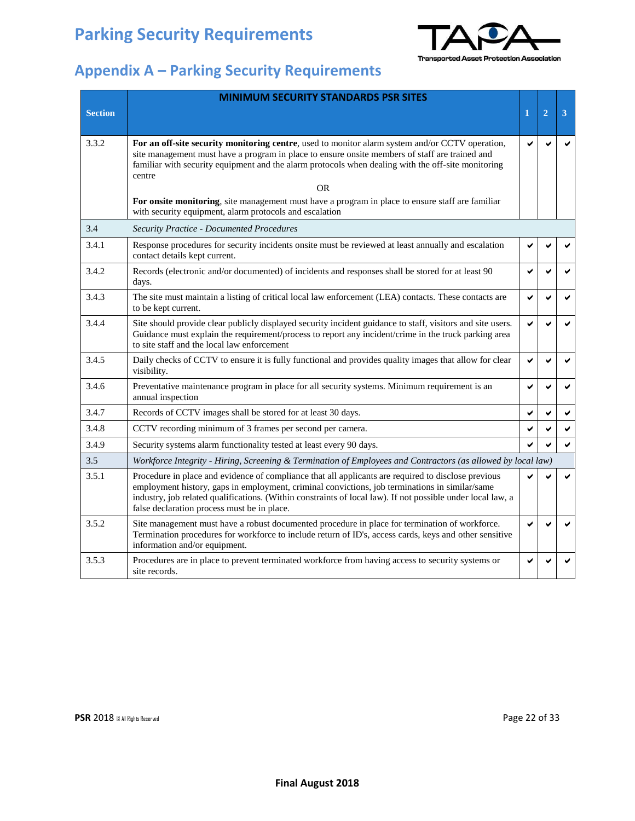

## **Appendix A – Parking Security Requirements**

|                | <b>MINIMUM SECURITY STANDARDS PSR SITES</b>                                                                                                                                                                                                                                                                                                                         |   |                |   |
|----------------|---------------------------------------------------------------------------------------------------------------------------------------------------------------------------------------------------------------------------------------------------------------------------------------------------------------------------------------------------------------------|---|----------------|---|
| <b>Section</b> |                                                                                                                                                                                                                                                                                                                                                                     | 1 | $\overline{2}$ | 3 |
|                |                                                                                                                                                                                                                                                                                                                                                                     |   |                |   |
| 3.3.2          | For an off-site security monitoring centre, used to monitor alarm system and/or CCTV operation,<br>site management must have a program in place to ensure onsite members of staff are trained and<br>familiar with security equipment and the alarm protocols when dealing with the off-site monitoring<br>centre                                                   |   |                | ✔ |
|                | 0R                                                                                                                                                                                                                                                                                                                                                                  |   |                |   |
|                | For onsite monitoring, site management must have a program in place to ensure staff are familiar<br>with security equipment, alarm protocols and escalation                                                                                                                                                                                                         |   |                |   |
| 3.4            | <b>Security Practice - Documented Procedures</b>                                                                                                                                                                                                                                                                                                                    |   |                |   |
| 3.4.1          | Response procedures for security incidents onsite must be reviewed at least annually and escalation<br>contact details kept current.                                                                                                                                                                                                                                | ✔ |                |   |
| 3.4.2          | Records (electronic and/or documented) of incidents and responses shall be stored for at least 90<br>days.                                                                                                                                                                                                                                                          | ✓ | ✓              | ✔ |
| 3.4.3          | The site must maintain a listing of critical local law enforcement (LEA) contacts. These contacts are<br>to be kept current.                                                                                                                                                                                                                                        | ✓ | ✓              | ✔ |
| 3.4.4          | Site should provide clear publicly displayed security incident guidance to staff, visitors and site users.<br>Guidance must explain the requirement/process to report any incident/crime in the truck parking area<br>to site staff and the local law enforcement                                                                                                   | ✓ |                | ✔ |
| 3.4.5          | Daily checks of CCTV to ensure it is fully functional and provides quality images that allow for clear<br>visibility.                                                                                                                                                                                                                                               | ✔ | ✓              | ✔ |
| 3.4.6          | Preventative maintenance program in place for all security systems. Minimum requirement is an<br>annual inspection                                                                                                                                                                                                                                                  | ✔ | ✔              | ✔ |
| 3.4.7          | Records of CCTV images shall be stored for at least 30 days.                                                                                                                                                                                                                                                                                                        | ✔ | ✔              | ✔ |
| 3.4.8          | CCTV recording minimum of 3 frames per second per camera.                                                                                                                                                                                                                                                                                                           | ✔ | V              | ✔ |
| 3.4.9          | Security systems alarm functionality tested at least every 90 days.                                                                                                                                                                                                                                                                                                 | ✓ |                | ✓ |
| 3.5            | Workforce Integrity - Hiring, Screening & Termination of Employees and Contractors (as allowed by local law)                                                                                                                                                                                                                                                        |   |                |   |
| 3.5.1          | Procedure in place and evidence of compliance that all applicants are required to disclose previous<br>employment history, gaps in employment, criminal convictions, job terminations in similar/same<br>industry, job related qualifications. (Within constraints of local law). If not possible under local law, a<br>false declaration process must be in place. |   |                | ✔ |
| 3.5.2          | Site management must have a robust documented procedure in place for termination of workforce.<br>Termination procedures for workforce to include return of ID's, access cards, keys and other sensitive<br>information and/or equipment.                                                                                                                           | ✔ | ✔              | ✔ |
| 3.5.3          | Procedures are in place to prevent terminated workforce from having access to security systems or<br>site records.                                                                                                                                                                                                                                                  | ✔ |                | ✔ |

**PSR** 2018 © All Rights Reserved **Page 22 of 33**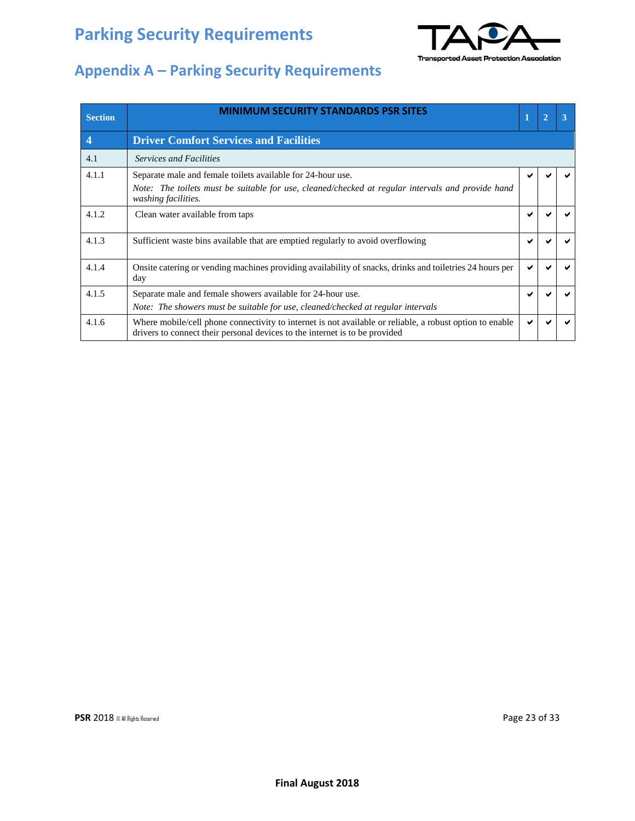

| <b>Section</b>   | <b>MINIMUM SECURITY STANDARDS PSR SITES</b>                                                                                                                                             | 1 | $\overline{2}$ |  |
|------------------|-----------------------------------------------------------------------------------------------------------------------------------------------------------------------------------------|---|----------------|--|
| $\boldsymbol{4}$ | <b>Driver Comfort Services and Facilities</b>                                                                                                                                           |   |                |  |
| 4.1              | <b>Services and Facilities</b>                                                                                                                                                          |   |                |  |
| 4.1.1            | Separate male and female toilets available for 24-hour use.<br>Note: The toilets must be suitable for use, cleaned/checked at regular intervals and provide hand<br>washing facilities. |   |                |  |
| 4.1.2            | Clean water available from taps                                                                                                                                                         |   |                |  |
| 4.1.3            | Sufficient waste bins available that are emptied regularly to avoid overflowing                                                                                                         |   |                |  |
| 4.1.4            | Onsite catering or vending machines providing availability of snacks, drinks and toiletries 24 hours per<br>day                                                                         |   |                |  |
| 4.1.5            | Separate male and female showers available for 24-hour use.<br>Note: The showers must be suitable for use, cleaned/checked at regular intervals                                         |   |                |  |
| 4.1.6            | Where mobile/cell phone connectivity to internet is not available or reliable, a robust option to enable<br>drivers to connect their personal devices to the internet is to be provided |   |                |  |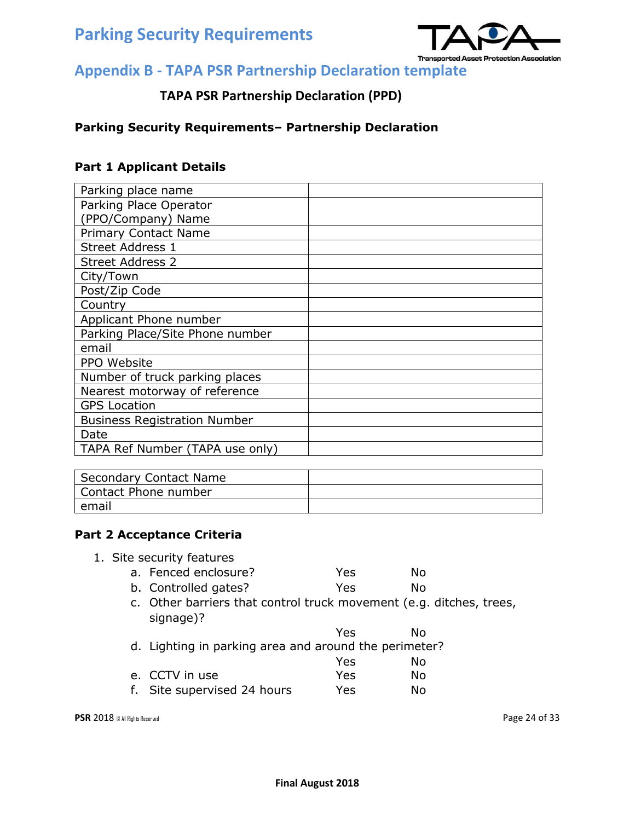

### **TAPA PSR Partnership Declaration (PPD)**

#### **Parking Security Requirements– Partnership Declaration**

#### **Part 1 Applicant Details**

| Parking place name                  |  |
|-------------------------------------|--|
| Parking Place Operator              |  |
| (PPO/Company) Name                  |  |
| <b>Primary Contact Name</b>         |  |
| <b>Street Address 1</b>             |  |
| <b>Street Address 2</b>             |  |
| City/Town                           |  |
| Post/Zip Code                       |  |
| Country                             |  |
| Applicant Phone number              |  |
| Parking Place/Site Phone number     |  |
| email                               |  |
| PPO Website                         |  |
| Number of truck parking places      |  |
| Nearest motorway of reference       |  |
| <b>GPS Location</b>                 |  |
| <b>Business Registration Number</b> |  |
| Date                                |  |
| TAPA Ref Number (TAPA use only)     |  |

| <b>Secondary Contact Name</b> |  |
|-------------------------------|--|
| Contact Phone number          |  |
| email                         |  |

#### **Part 2 Acceptance Criteria**

- 1. Site security features a. Fenced enclosure? The Mesa No b. Controlled gates? The Yes No
	- c. Other barriers that control truck movement (e.g. ditches, trees, signage)?
		-
	- Yes No d. Lighting in parking area and around the perimeter?
	- Yes No e. CCTV in use Yes No f. Site supervised 24 hours Yes No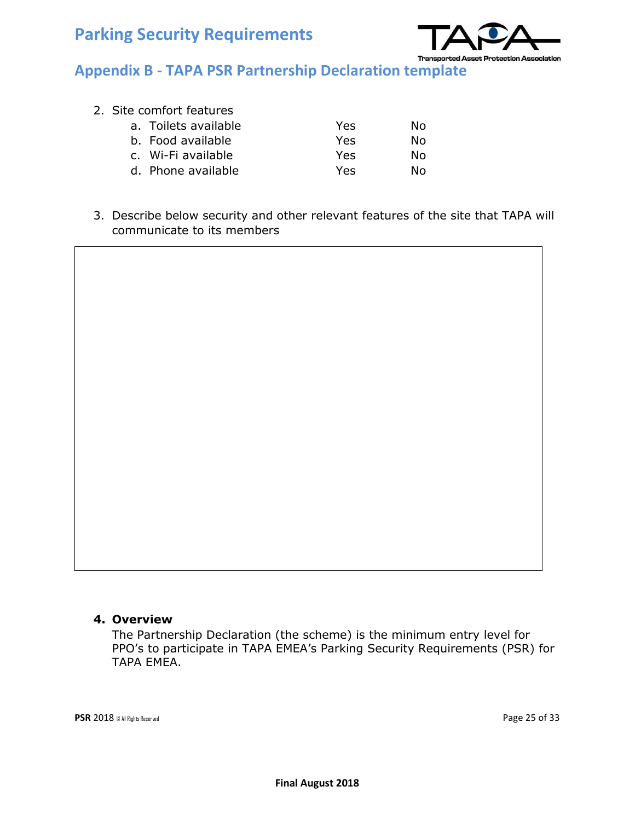

#### 2. Site comfort features

| a. Toilets available | Yes | Nο |
|----------------------|-----|----|
| b. Food available    | Yes | Nο |
| c. Wi-Fi available   | Yes | Nο |
| d. Phone available   | Yes | N٥ |

3. Describe below security and other relevant features of the site that TAPA will communicate to its members

#### **4. Overview**

The Partnership Declaration (the scheme) is the minimum entry level for PPO's to participate in TAPA EMEA's Parking Security Requirements (PSR) for TAPA EMEA.

**PSR** 2018 © All Rights Reserved **Page 25 of 33**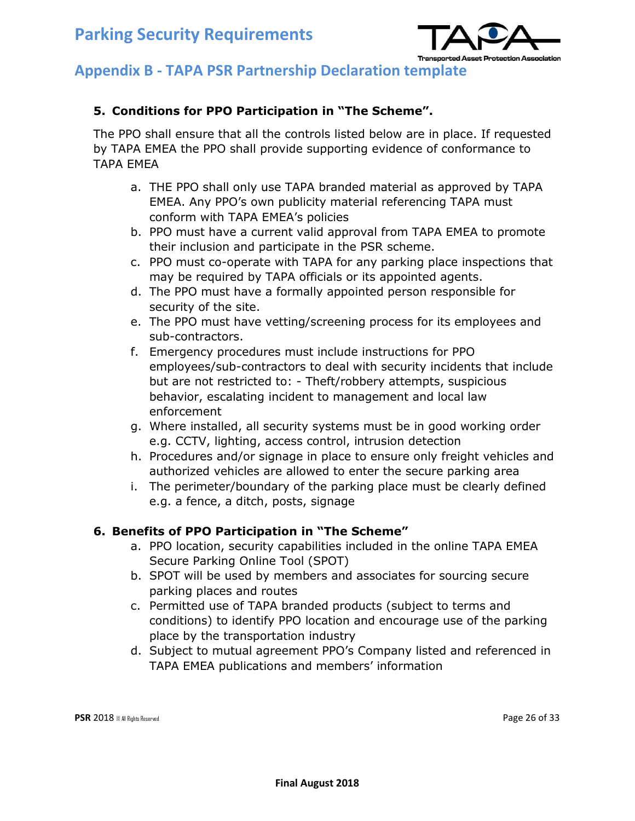

#### **5. Conditions for PPO Participation in "The Scheme".**

The PPO shall ensure that all the controls listed below are in place. If requested by TAPA EMEA the PPO shall provide supporting evidence of conformance to TAPA EMEA

- a. THE PPO shall only use TAPA branded material as approved by TAPA EMEA. Any PPO's own publicity material referencing TAPA must conform with TAPA EMEA's policies
- b. PPO must have a current valid approval from TAPA EMEA to promote their inclusion and participate in the PSR scheme.
- c. PPO must co-operate with TAPA for any parking place inspections that may be required by TAPA officials or its appointed agents.
- d. The PPO must have a formally appointed person responsible for security of the site.
- e. The PPO must have vetting/screening process for its employees and sub-contractors.
- f. Emergency procedures must include instructions for PPO employees/sub-contractors to deal with security incidents that include but are not restricted to: - Theft/robbery attempts, suspicious behavior, escalating incident to management and local law enforcement
- g. Where installed, all security systems must be in good working order e.g. CCTV, lighting, access control, intrusion detection
- h. Procedures and/or signage in place to ensure only freight vehicles and authorized vehicles are allowed to enter the secure parking area
- i. The perimeter/boundary of the parking place must be clearly defined e.g. a fence, a ditch, posts, signage

#### **6. Benefits of PPO Participation in "The Scheme"**

- a. PPO location, security capabilities included in the online TAPA EMEA Secure Parking Online Tool (SPOT)
- b. SPOT will be used by members and associates for sourcing secure parking places and routes
- c. Permitted use of TAPA branded products (subject to terms and conditions) to identify PPO location and encourage use of the parking place by the transportation industry
- d. Subject to mutual agreement PPO's Company listed and referenced in TAPA EMEA publications and members' information

**PSR** 2018 © All Rights Reserved **Page 26 of 33**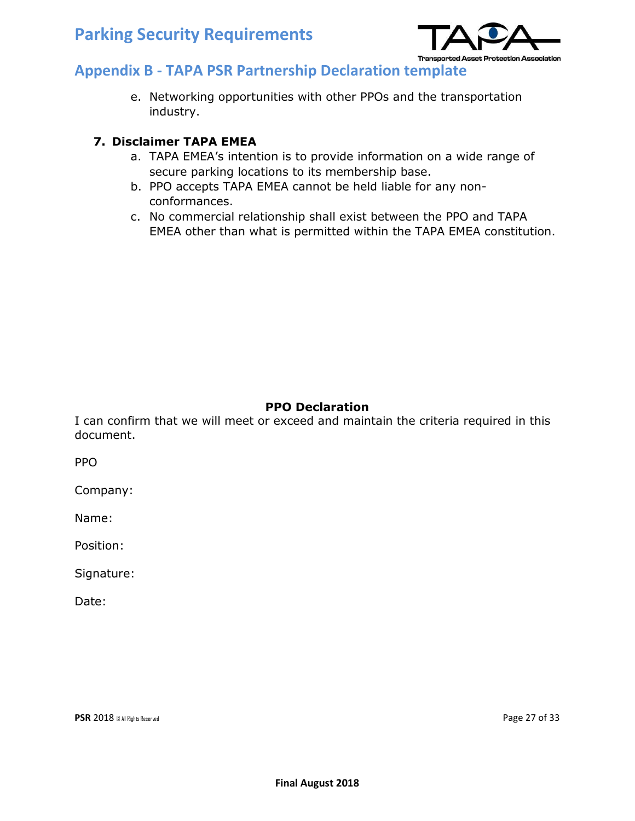

e. Networking opportunities with other PPOs and the transportation industry.

#### **7. Disclaimer TAPA EMEA**

- a. TAPA EMEA's intention is to provide information on a wide range of secure parking locations to its membership base.
- b. PPO accepts TAPA EMEA cannot be held liable for any nonconformances.
- c. No commercial relationship shall exist between the PPO and TAPA EMEA other than what is permitted within the TAPA EMEA constitution.

#### **PPO Declaration**

I can confirm that we will meet or exceed and maintain the criteria required in this document.

PPO

Company:

Name:

Position:

Signature:

Date:

**PSR** 2018 © All Rights Reserved **Page 27 of 33**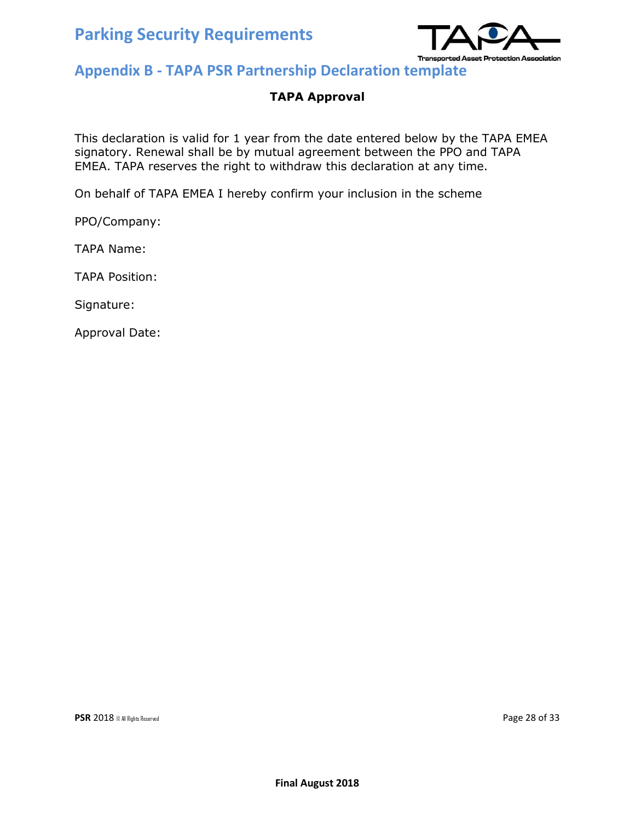

#### **TAPA Approval**

This declaration is valid for 1 year from the date entered below by the TAPA EMEA signatory. Renewal shall be by mutual agreement between the PPO and TAPA EMEA. TAPA reserves the right to withdraw this declaration at any time.

On behalf of TAPA EMEA I hereby confirm your inclusion in the scheme

PPO/Company:

TAPA Name:

TAPA Position:

Signature:

Approval Date:

**PSR** 2018 © All Rights Reserved **Page 28 of 33**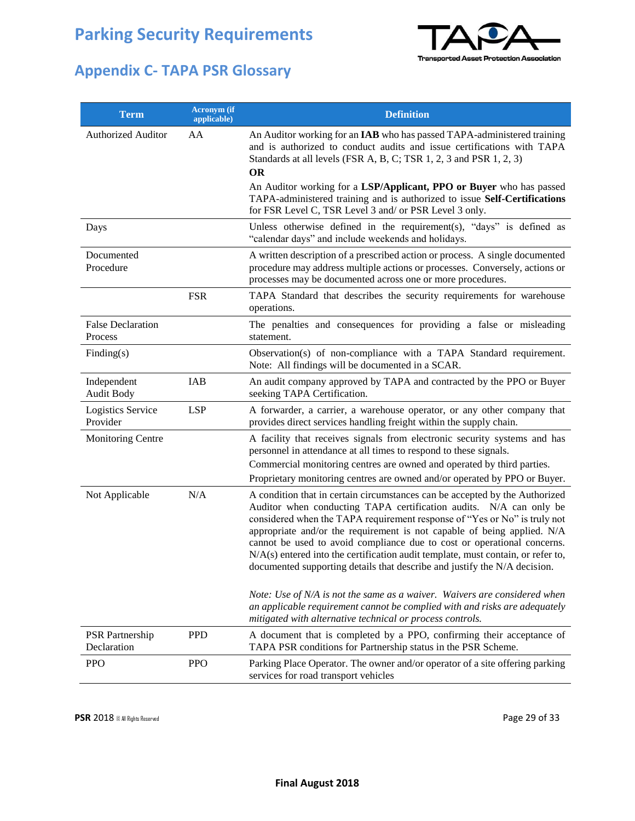

## **Appendix C- TAPA PSR Glossary**

| <b>Term</b>                           | <b>Acronym</b> (if<br>applicable) | <b>Definition</b>                                                                                                                                                                                                                                                                                                                                                                                                                                                                                                                                     |
|---------------------------------------|-----------------------------------|-------------------------------------------------------------------------------------------------------------------------------------------------------------------------------------------------------------------------------------------------------------------------------------------------------------------------------------------------------------------------------------------------------------------------------------------------------------------------------------------------------------------------------------------------------|
| <b>Authorized Auditor</b>             | AA                                | An Auditor working for an IAB who has passed TAPA-administered training<br>and is authorized to conduct audits and issue certifications with TAPA<br>Standards at all levels (FSR A, B, C; TSR 1, 2, 3 and PSR 1, 2, 3)<br><b>OR</b>                                                                                                                                                                                                                                                                                                                  |
|                                       |                                   | An Auditor working for a LSP/Applicant, PPO or Buyer who has passed<br>TAPA-administered training and is authorized to issue Self-Certifications<br>for FSR Level C, TSR Level 3 and/ or PSR Level 3 only.                                                                                                                                                                                                                                                                                                                                            |
| Days                                  |                                   | Unless otherwise defined in the requirement(s), "days" is defined as<br>"calendar days" and include weekends and holidays.                                                                                                                                                                                                                                                                                                                                                                                                                            |
| Documented<br>Procedure               |                                   | A written description of a prescribed action or process. A single documented<br>procedure may address multiple actions or processes. Conversely, actions or<br>processes may be documented across one or more procedures.                                                                                                                                                                                                                                                                                                                             |
|                                       | <b>FSR</b>                        | TAPA Standard that describes the security requirements for warehouse<br>operations.                                                                                                                                                                                                                                                                                                                                                                                                                                                                   |
| <b>False Declaration</b><br>Process   |                                   | The penalties and consequences for providing a false or misleading<br>statement.                                                                                                                                                                                                                                                                                                                                                                                                                                                                      |
| Finding(s)                            |                                   | Observation(s) of non-compliance with a TAPA Standard requirement.<br>Note: All findings will be documented in a SCAR.                                                                                                                                                                                                                                                                                                                                                                                                                                |
| Independent<br><b>Audit Body</b>      | <b>IAB</b>                        | An audit company approved by TAPA and contracted by the PPO or Buyer<br>seeking TAPA Certification.                                                                                                                                                                                                                                                                                                                                                                                                                                                   |
| Logistics Service<br>Provider         | <b>LSP</b>                        | A forwarder, a carrier, a warehouse operator, or any other company that<br>provides direct services handling freight within the supply chain.                                                                                                                                                                                                                                                                                                                                                                                                         |
| Monitoring Centre                     |                                   | A facility that receives signals from electronic security systems and has<br>personnel in attendance at all times to respond to these signals.                                                                                                                                                                                                                                                                                                                                                                                                        |
|                                       |                                   | Commercial monitoring centres are owned and operated by third parties.<br>Proprietary monitoring centres are owned and/or operated by PPO or Buyer.                                                                                                                                                                                                                                                                                                                                                                                                   |
| Not Applicable                        | N/A                               | A condition that in certain circumstances can be accepted by the Authorized<br>Auditor when conducting TAPA certification audits. N/A can only be<br>considered when the TAPA requirement response of "Yes or No" is truly not<br>appropriate and/or the requirement is not capable of being applied. N/A<br>cannot be used to avoid compliance due to cost or operational concerns.<br>N/A(s) entered into the certification audit template, must contain, or refer to,<br>documented supporting details that describe and justify the N/A decision. |
|                                       |                                   | Note: Use of N/A is not the same as a waiver. Waivers are considered when<br>an applicable requirement cannot be complied with and risks are adequately<br>mitigated with alternative technical or process controls.                                                                                                                                                                                                                                                                                                                                  |
| <b>PSR</b> Partnership<br>Declaration | <b>PPD</b>                        | A document that is completed by a PPO, confirming their acceptance of<br>TAPA PSR conditions for Partnership status in the PSR Scheme.                                                                                                                                                                                                                                                                                                                                                                                                                |
| <b>PPO</b>                            | <b>PPO</b>                        | Parking Place Operator. The owner and/or operator of a site offering parking<br>services for road transport vehicles                                                                                                                                                                                                                                                                                                                                                                                                                                  |

**PSR** 2018 © All Rights Reserved **Page 29 of 33**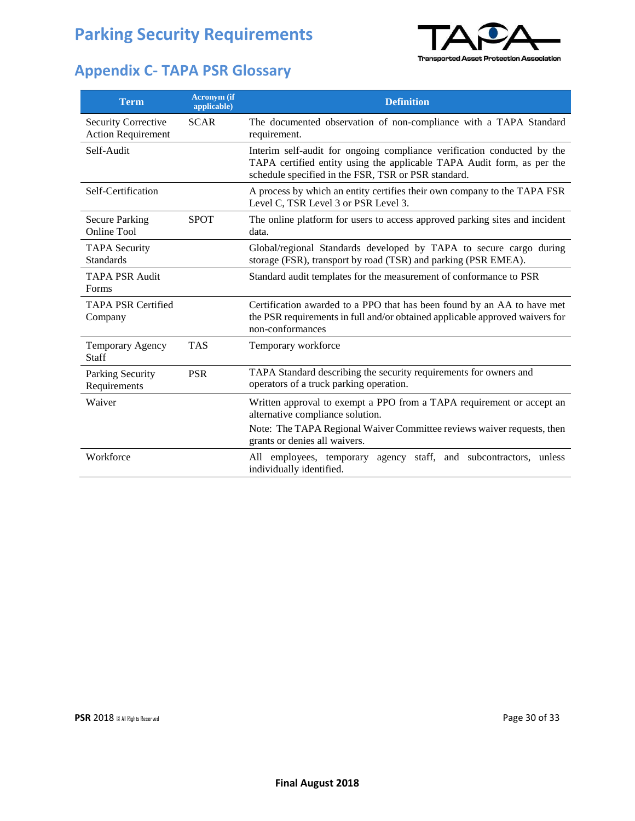## **Appendix C- TAPA PSR Glossary**



| <b>Term</b>                                             | <b>Acronym</b> (if<br>applicable) | <b>Definition</b>                                                                                                                                                                                                    |
|---------------------------------------------------------|-----------------------------------|----------------------------------------------------------------------------------------------------------------------------------------------------------------------------------------------------------------------|
| <b>Security Corrective</b><br><b>Action Requirement</b> | <b>SCAR</b>                       | The documented observation of non-compliance with a TAPA Standard<br>requirement.                                                                                                                                    |
| Self-Audit                                              |                                   | Interim self-audit for ongoing compliance verification conducted by the<br>TAPA certified entity using the applicable TAPA Audit form, as per the<br>schedule specified in the FSR, TSR or PSR standard.             |
| Self-Certification                                      |                                   | A process by which an entity certifies their own company to the TAPA FSR<br>Level C, TSR Level 3 or PSR Level 3.                                                                                                     |
| <b>Secure Parking</b><br>Online Tool                    | <b>SPOT</b>                       | The online platform for users to access approved parking sites and incident<br>data.                                                                                                                                 |
| <b>TAPA Security</b><br><b>Standards</b>                |                                   | Global/regional Standards developed by TAPA to secure cargo during<br>storage (FSR), transport by road (TSR) and parking (PSR EMEA).                                                                                 |
| <b>TAPA PSR Audit</b><br>Forms                          |                                   | Standard audit templates for the measurement of conformance to PSR                                                                                                                                                   |
| <b>TAPA PSR Certified</b><br>Company                    |                                   | Certification awarded to a PPO that has been found by an AA to have met<br>the PSR requirements in full and/or obtained applicable approved waivers for<br>non-conformances                                          |
| Temporary Agency<br>Staff                               | <b>TAS</b>                        | Temporary workforce                                                                                                                                                                                                  |
| Parking Security<br>Requirements                        | <b>PSR</b>                        | TAPA Standard describing the security requirements for owners and<br>operators of a truck parking operation.                                                                                                         |
| Waiver                                                  |                                   | Written approval to exempt a PPO from a TAPA requirement or accept an<br>alternative compliance solution.<br>Note: The TAPA Regional Waiver Committee reviews waiver requests, then<br>grants or denies all waivers. |
| Workforce                                               |                                   | All employees, temporary agency staff, and subcontractors, unless<br>individually identified.                                                                                                                        |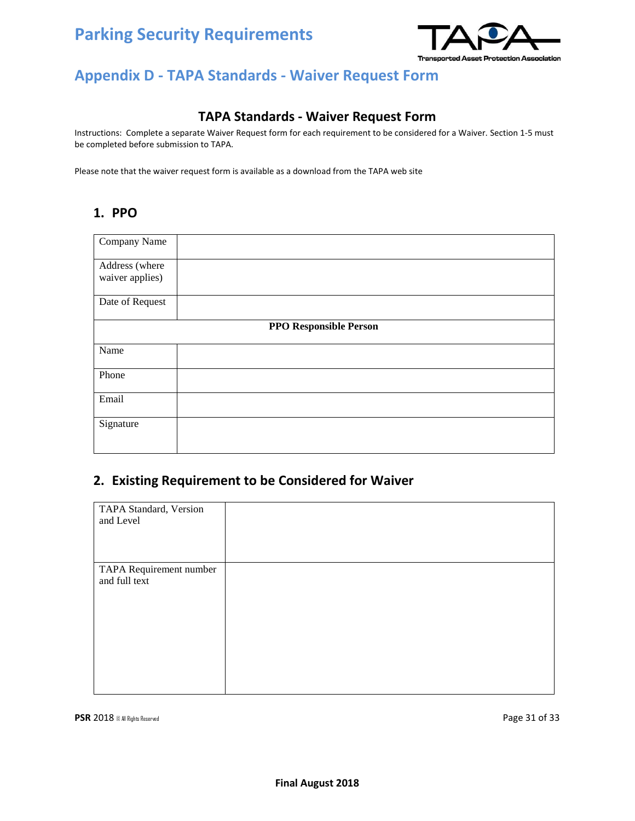

## **Appendix D - TAPA Standards - Waiver Request Form**

#### **TAPA Standards - Waiver Request Form**

Instructions: Complete a separate Waiver Request form for each requirement to be considered for a Waiver. Section 1-5 must be completed before submission to TAPA.

Please note that the waiver request form is available as a download from the TAPA web site

#### **1. PPO**

| Company Name                      |                               |
|-----------------------------------|-------------------------------|
| Address (where<br>waiver applies) |                               |
|                                   |                               |
| Date of Request                   |                               |
|                                   | <b>PPO Responsible Person</b> |
| Name                              |                               |
| Phone                             |                               |
| Email                             |                               |
| Signature                         |                               |
|                                   |                               |

#### **2. Existing Requirement to be Considered for Waiver**

| TAPA Standard, Version  |  |
|-------------------------|--|
| and Level               |  |
|                         |  |
|                         |  |
| TAPA Requirement number |  |
| and full text           |  |
|                         |  |
|                         |  |
|                         |  |
|                         |  |
|                         |  |
|                         |  |
|                         |  |
|                         |  |

**PSR** 2018 © All Rights Reserved **Page 31 of 33**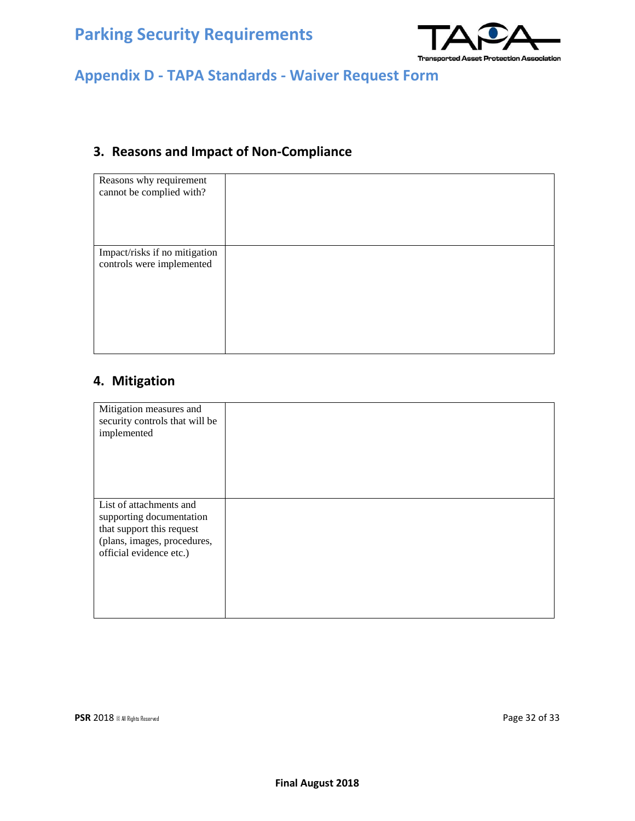

## **Appendix D - TAPA Standards - Waiver Request Form**

## **3. Reasons and Impact of Non-Compliance**

| Reasons why requirement<br>cannot be complied with?        |  |
|------------------------------------------------------------|--|
| Impact/risks if no mitigation<br>controls were implemented |  |

#### **4. Mitigation**

| Mitigation measures and<br>security controls that will be<br>implemented                                                                   |  |
|--------------------------------------------------------------------------------------------------------------------------------------------|--|
| List of attachments and<br>supporting documentation<br>that support this request<br>(plans, images, procedures,<br>official evidence etc.) |  |